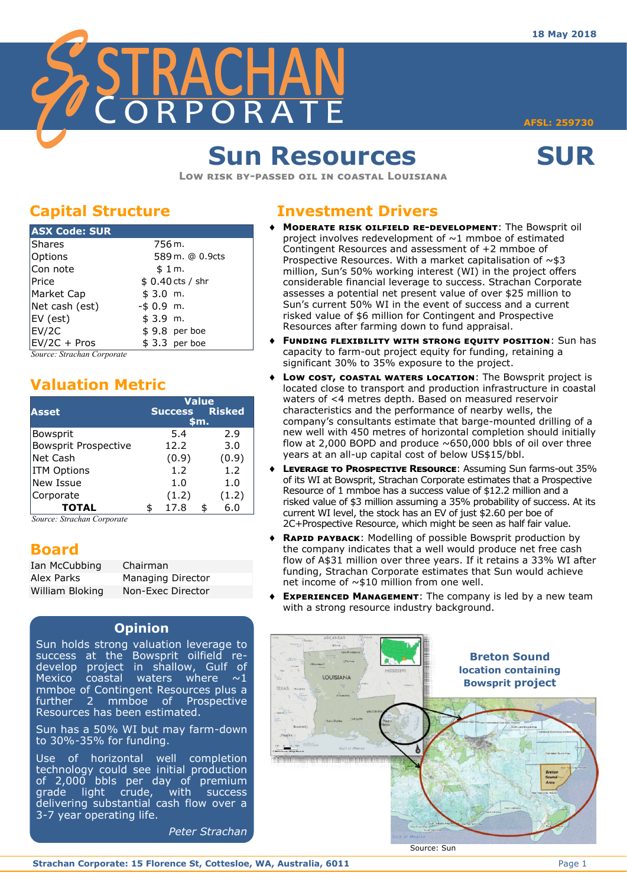

**AFSL: 259730** 

# **Sun Resources SUR**

**Low risk by-passed oil in coastal Louisiana**

## **Capital Structure**

| <b>ASX Code: SUR</b> |                   |
|----------------------|-------------------|
| Shares               | 756 m.            |
| Options              | 589 m. @ 0.9cts   |
| Con note             | \$1m.             |
| <b>Price</b>         | $$0.40$ cts / shr |
| Market Cap           | \$3.0 m.          |
| Net cash (est)       | $-$ \$ 0.9 m.     |
| EV (est)             | \$3.9 m.          |
| EV/2C                | $$9.8$ per boe    |
| EV/2C + Pros         | $$3.3$ per boe    |

*Source: Strachan Corporate*

## **Valuation Metric**

|                      | <b>Value</b> |                |  |               |  |  |
|----------------------|--------------|----------------|--|---------------|--|--|
| <b>Asset</b>         |              | <b>Success</b> |  | <b>Risked</b> |  |  |
|                      | \$m.         |                |  |               |  |  |
| Bowsprit             |              | 5.4            |  | 2.9           |  |  |
| Bowsprit Prospective |              | 12.2           |  | 3.0           |  |  |
| Net Cash             |              | (0.9)          |  | (0.9)         |  |  |
| <b>ITM Options</b>   |              | 1.2            |  | 1.2           |  |  |
| New Issue            |              | 1.0            |  | 1.0           |  |  |
| Corporate            |              | (1.2)          |  | (1.2)         |  |  |
| <b>TOTAL</b>         |              | 17.8           |  | 6.0           |  |  |

*Source: Strachan Corporate*

## **Board**

| Ian McCubbing   | Chairman                 |
|-----------------|--------------------------|
| Alex Parks      | <b>Managing Director</b> |
| William Bloking | Non-Exec Director        |

### **Opinion**

- Sun holds strong valuation leverage to success at the Bowsprit oilfield redevelop project in shallow, Gulf of Mexico coastal waters where  $\sim 1$ mmboe of Contingent Resources plus a further 2 mmboe of Prospective Resources has been estimated.
- Sun has a 50% WI but may farm-down to 30%-35% for funding.

Use of horizontal well completion technology could see initial production of 2,000 bbls per day of premium grade light crude, with success delivering substantial cash flow over a 3-7 year operating life.

*Peter Strachan*

## **Investment Drivers**

- **Moderate risk oilfield re-development**: The Bowsprit oil project involves redevelopment of  $\sim$ 1 mmboe of estimated Contingent Resources and assessment of +2 mmboe of Prospective Resources. With a market capitalisation of  $\sim$ \$3 million, Sun's 50% working interest (WI) in the project offers considerable financial leverage to success. Strachan Corporate assesses a potential net present value of over \$25 million to Sun's current 50% WI in the event of success and a current risked value of \$6 million for Contingent and Prospective Resources after farming down to fund appraisal.
- **Funding flexibility with strong equity position**: Sun has capacity to farm-out project equity for funding, retaining a significant 30% to 35% exposure to the project.
- Low cost, coastal waters **LOCATION**: The Bowsprit project is located close to transport and production infrastructure in coastal waters of <4 metres depth. Based on measured reservoir characteristics and the performance of nearby wells, the company's consultants estimate that barge-mounted drilling of a new well with 450 metres of horizontal completion should initially flow at 2,000 BOPD and produce  $\sim$  650,000 bbls of oil over three years at an all-up capital cost of below US\$15/bbl.
- **Leverage to Prospective Resource**: Assuming Sun farms-out 35% of its WI at Bowsprit, Strachan Corporate estimates that a Prospective Resource of 1 mmboe has a success value of \$12.2 million and a risked value of \$3 million assuming a 35% probability of success. At its current WI level, the stock has an EV of just \$2.60 per boe of 2C+Prospective Resource, which might be seen as half fair value.
- **Rapid payback**: Modelling of possible Bowsprit production by the company indicates that a well would produce net free cash flow of A\$31 million over three years. If it retains a 33% WI after funding, Strachan Corporate estimates that Sun would achieve net income of ~\$10 million from one well.
- **EXPERIENCED MANAGEMENT:** The company is led by a new team with a strong resource industry background.



**Strachan Corporate: 15 Florence St, Cottesloe, WA, Australia, 6011** Page 1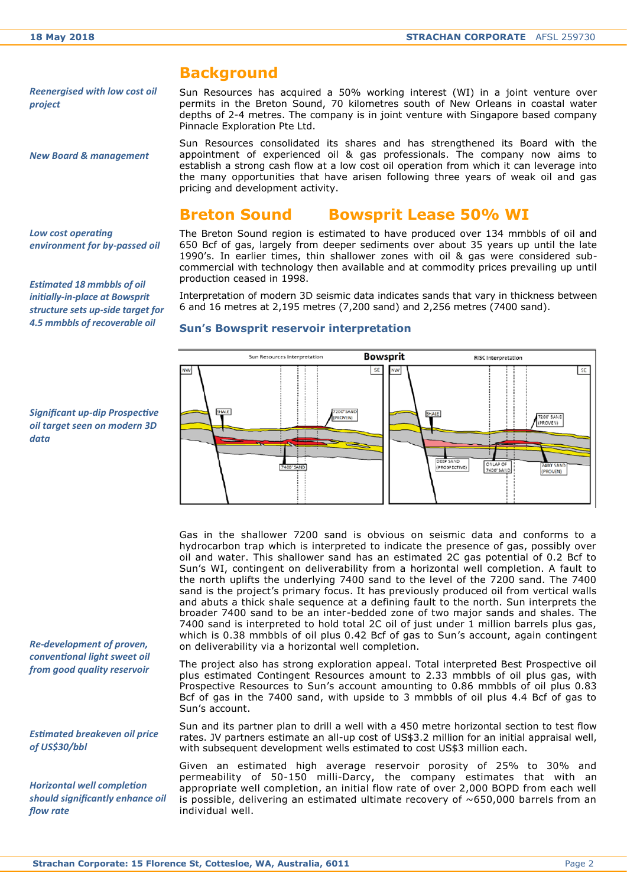## **Background**

*Reenergised with low cost oil project*

*New Board & management*

Sun Resources has acquired a 50% working interest (WI) in a joint venture over permits in the Breton Sound, 70 kilometres south of New Orleans in coastal water depths of 2-4 metres. The company is in joint venture with Singapore based company Pinnacle Exploration Pte Ltd.

Sun Resources consolidated its shares and has strengthened its Board with the appointment of experienced oil & gas professionals. The company now aims to establish a strong cash flow at a low cost oil operation from which it can leverage into the many opportunities that have arisen following three years of weak oil and gas pricing and development activity.

### **Breton Sound Bowsprit Lease 50% WI**

*Low cost operating environment for by-passed oil*

*Estimated 18 mmbbls of oil initially-in-place at Bowsprit structure sets up-side target for 4.5 mmbbls of recoverable oil*

*Significant up-dip Prospective oil target seen on modern 3D data*

*Re-development of proven, conventional light sweet oil from good quality reservoir*

*Estimated breakeven oil price of US\$30/bbl*

*Horizontal well completion should significantly enhance oil flow rate* 

The Breton Sound region is estimated to have produced over 134 mmbbls of oil and 650 Bcf of gas, largely from deeper sediments over about 35 years up until the late 1990's. In earlier times, thin shallower zones with oil & gas were considered subcommercial with technology then available and at commodity prices prevailing up until production ceased in 1998.

Interpretation of modern 3D seismic data indicates sands that vary in thickness between 6 and 16 metres at 2,195 metres (7,200 sand) and 2,256 metres (7400 sand).

#### **Sun's Bowsprit reservoir interpretation**



Gas in the shallower 7200 sand is obvious on seismic data and conforms to a hydrocarbon trap which is interpreted to indicate the presence of gas, possibly over oil and water. This shallower sand has an estimated 2C gas potential of 0.2 Bcf to Sun's WI, contingent on deliverability from a horizontal well completion. A fault to the north uplifts the underlying 7400 sand to the level of the 7200 sand. The 7400 sand is the project's primary focus. It has previously produced oil from vertical walls and abuts a thick shale sequence at a defining fault to the north. Sun interprets the broader 7400 sand to be an inter-bedded zone of two major sands and shales. The 7400 sand is interpreted to hold total 2C oil of just under 1 million barrels plus gas, which is 0.38 mmbbls of oil plus 0.42 Bcf of gas to Sun's account, again contingent on deliverability via a horizontal well completion.

The project also has strong exploration appeal. Total interpreted Best Prospective oil plus estimated Contingent Resources amount to 2.33 mmbbls of oil plus gas, with Prospective Resources to Sun's account amounting to 0.86 mmbbls of oil plus 0.83 Bcf of gas in the 7400 sand, with upside to 3 mmbbls of oil plus 4.4 Bcf of gas to Sun's account.

Sun and its partner plan to drill a well with a 450 metre horizontal section to test flow rates. JV partners estimate an all-up cost of US\$3.2 million for an initial appraisal well, with subsequent development wells estimated to cost US\$3 million each.

Given an estimated high average reservoir porosity of 25% to 30% and permeability of 50-150 milli-Darcy, the company estimates that with an appropriate well completion, an initial flow rate of over 2,000 BOPD from each well is possible, delivering an estimated ultimate recovery of  $~650,000$  barrels from an individual well.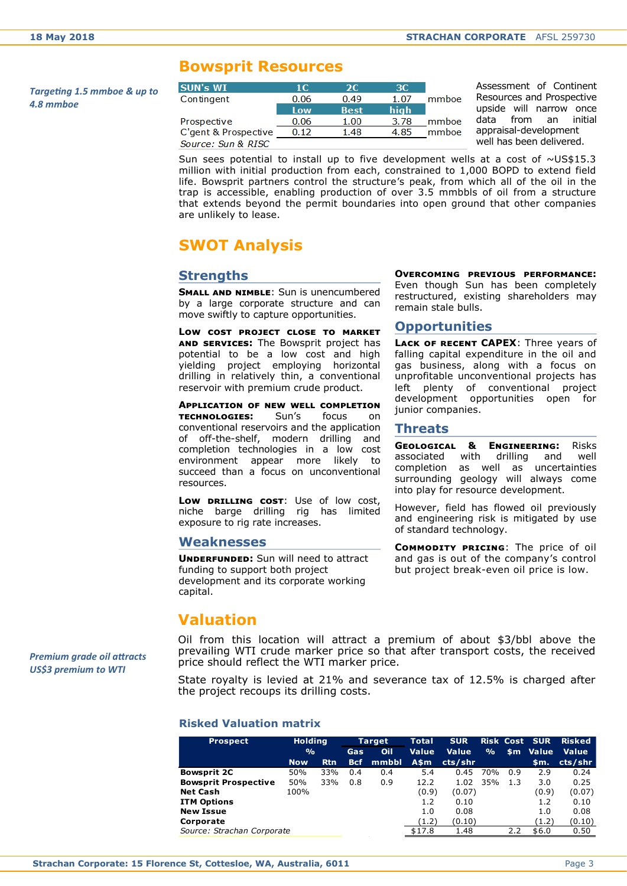### **Bowsprit Resources**

*Targeting 1.5 mmboe & up to 4.8 mmboe*

| <b>SUN's WI</b>      | 1C.  | 2C.         | 3C.  |       |
|----------------------|------|-------------|------|-------|
| Contingent           | 0.06 | 0.49        | 1.07 | mmboe |
|                      | Low  | <b>Best</b> | hiah |       |
| Prospective          | 0.06 | 1.00        | 3.78 | mmboe |
| C'gent & Prospective | 0.12 | 1.48        | 4.85 | mmboe |
| Source: Sun & RISC   |      |             |      |       |

Assessment of Continent Resources and Prospective upside will narrow once data from an initial appraisal-development well has been delivered.

Sun sees potential to install up to five development wells at a cost of  $\sim$ US\$15.3 million with initial production from each, constrained to 1,000 BOPD to extend field life. Bowsprit partners control the structure's peak, from which all of the oil in the trap is accessible, enabling production of over 3.5 mmbbls of oil from a structure that extends beyond the permit boundaries into open ground that other companies are unlikely to lease.

## **SWOT Analysis**

### **Strengths**

**SMALL AND NIMBLE:** Sun is unencumbered by a large corporate structure and can move swiftly to capture opportunities.

**Low cost project close to market and services:** The Bowsprit project has potential to be a low cost and high yielding project employing horizontal drilling in relatively thin, a conventional reservoir with premium crude product.

**Application of new well completion technologies:** Sun's focus on conventional reservoirs and the application of off-the-shelf, modern drilling and completion technologies in a low cost environment appear more likely to succeed than a focus on unconventional resources.

**Low drilling cost**: Use of low cost, niche barge drilling rig has limited exposure to rig rate increases.

#### **Weaknesses**

**UNDERFUNDED:** Sun will need to attract funding to support both project development and its corporate working capital.

**Overcoming previous performance:**  Even though Sun has been completely restructured, existing shareholders may remain stale bulls.

#### **Opportunities**

**Lack of recent CAPEX**: Three years of falling capital expenditure in the oil and gas business, along with a focus on unprofitable unconventional projects has left plenty of conventional project development opportunities open for junior companies.

#### **Threats**

**Geological & Engineering:** Risks associated with drilling and well completion as well as uncertainties surrounding geology will always come into play for resource development.

However, field has flowed oil previously and engineering risk is mitigated by use of standard technology.

**Commodity pricing**: The price of oil and gas is out of the company's control but project break-even oil price is low.

## **Valuation**

Oil from this location will attract a premium of about \$3/bbl above the prevailing WTI crude marker price so that after transport costs, the received price should reflect the WTI marker price.

State royalty is levied at 21% and severance tax of 12.5% is charged after the project recoups its drilling costs.

#### **Risked Valuation matrix**

| <b>Prospect</b>             | <b>Holding</b><br>$\frac{0}{0}$ |            | <b>Target</b><br>Oil<br>Gas |       | Total<br><b>Value</b> | <b>SUR</b><br><b>Value</b> | $\frac{9}{6}$ |     | <b>Risk Cost SUR</b><br>\$m Value | <b>Risked</b><br><b>Value</b> |
|-----------------------------|---------------------------------|------------|-----------------------------|-------|-----------------------|----------------------------|---------------|-----|-----------------------------------|-------------------------------|
|                             | <b>Now</b>                      | <b>Rtn</b> | <b>Bcf</b>                  | mmbbl | A\$m                  | cts/shr                    |               |     | \$m.                              | cts/shr                       |
| <b>Bowsprit 2C</b>          | 50%                             | 33%        | 0.4                         | 0.4   | 5.4                   | 0.45                       | 70%           | 0.9 | 2.9                               | 0.24                          |
| <b>Bowsprit Prospective</b> | 50%                             | 33%        | 0.8                         | 0.9   | 12.2                  | 1.02                       | 35%           | 1.3 | 3.0                               | 0.25                          |
| <b>Net Cash</b>             | 100%                            |            |                             |       | (0.9)                 | (0.07)                     |               |     | (0.9)                             | (0.07)                        |
| <b>ITM Options</b>          |                                 |            |                             |       | 1.2                   | 0.10                       |               |     | 1.2                               | 0.10                          |
| <b>New Issue</b>            |                                 |            |                             |       | 1.0                   | 0.08                       |               |     | 1.0                               | 0.08                          |
| Corporate                   |                                 |            |                             |       | (1.2)                 | (0.10)                     |               |     | (1.2)                             | (0.10)                        |
| Source: Strachan Corporate  |                                 |            |                             |       | \$17.8                | 1.48                       |               | 2.2 | \$6.0                             | 0.50                          |

*Premium grade oil attracts US\$3 premium to WTI*